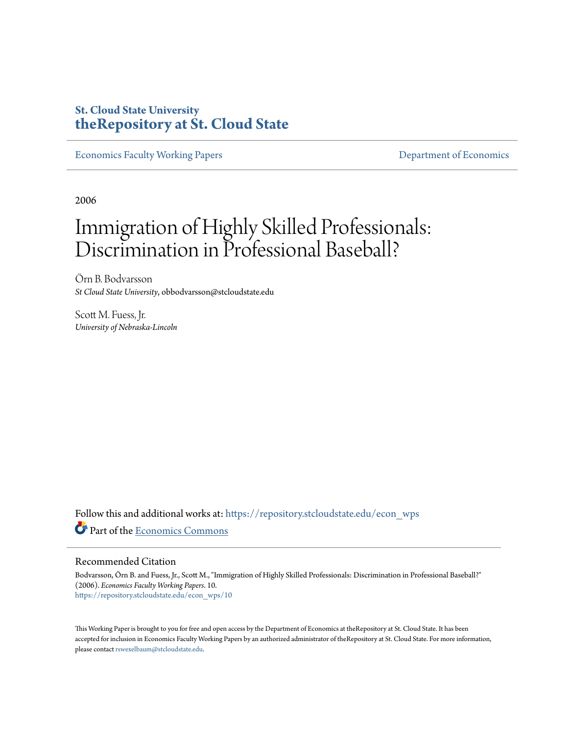### **St. Cloud State University [theRepository at St. Cloud State](https://repository.stcloudstate.edu?utm_source=repository.stcloudstate.edu%2Fecon_wps%2F10&utm_medium=PDF&utm_campaign=PDFCoverPages)**

[Economics Faculty Working Papers](https://repository.stcloudstate.edu/econ_wps?utm_source=repository.stcloudstate.edu%2Fecon_wps%2F10&utm_medium=PDF&utm_campaign=PDFCoverPages) **Exercise 2018** [Department of Economics](https://repository.stcloudstate.edu/econ?utm_source=repository.stcloudstate.edu%2Fecon_wps%2F10&utm_medium=PDF&utm_campaign=PDFCoverPages)

2006

# Immigration of Highly Skilled Professionals: Discrimination in Professional Baseball?

Örn B. Bodvarsson *St Cloud State University*, obbodvarsson@stcloudstate.edu

Scott M. Fuess, Jr. *University of Nebraska-Lincoln*

Follow this and additional works at: [https://repository.stcloudstate.edu/econ\\_wps](https://repository.stcloudstate.edu/econ_wps?utm_source=repository.stcloudstate.edu%2Fecon_wps%2F10&utm_medium=PDF&utm_campaign=PDFCoverPages) Part of the [Economics Commons](http://network.bepress.com/hgg/discipline/340?utm_source=repository.stcloudstate.edu%2Fecon_wps%2F10&utm_medium=PDF&utm_campaign=PDFCoverPages)

#### Recommended Citation

Bodvarsson, Örn B. and Fuess, Jr., Scott M., "Immigration of Highly Skilled Professionals: Discrimination in Professional Baseball?" (2006). *Economics Faculty Working Papers*. 10. [https://repository.stcloudstate.edu/econ\\_wps/10](https://repository.stcloudstate.edu/econ_wps/10?utm_source=repository.stcloudstate.edu%2Fecon_wps%2F10&utm_medium=PDF&utm_campaign=PDFCoverPages)

This Working Paper is brought to you for free and open access by the Department of Economics at theRepository at St. Cloud State. It has been accepted for inclusion in Economics Faculty Working Papers by an authorized administrator of theRepository at St. Cloud State. For more information, please contact [rswexelbaum@stcloudstate.edu.](mailto:rswexelbaum@stcloudstate.edu)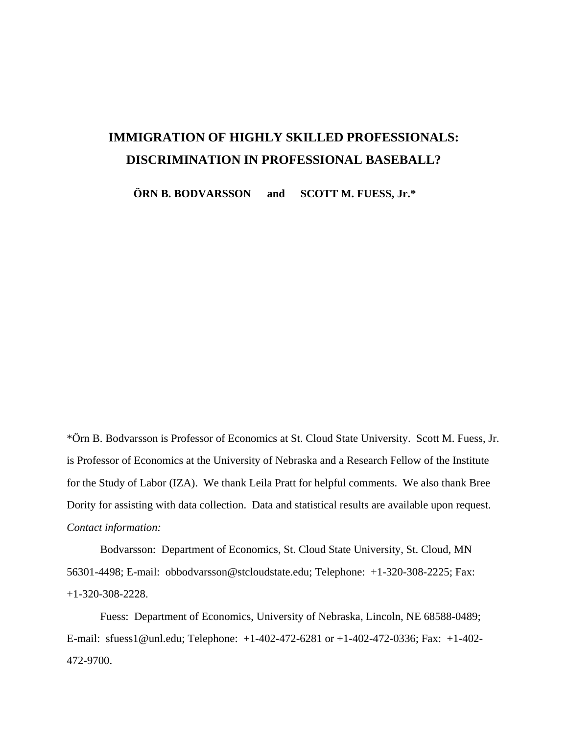# **IMMIGRATION OF HIGHLY SKILLED PROFESSIONALS: DISCRIMINATION IN PROFESSIONAL BASEBALL?**

**ÖRN B. BODVARSSON and SCOTT M. FUESS, Jr.\***

\*Örn B. Bodvarsson is Professor of Economics at St. Cloud State University. Scott M. Fuess, Jr. is Professor of Economics at the University of Nebraska and a Research Fellow of the Institute for the Study of Labor (IZA). We thank Leila Pratt for helpful comments. We also thank Bree Dority for assisting with data collection. Data and statistical results are available upon request. *Contact information:*

Bodvarsson: Department of Economics, St. Cloud State University, St. Cloud, MN 56301-4498; E-mail: obbodvarsson@stcloudstate.edu; Telephone: +1-320-308-2225; Fax: +1-320-308-2228.

Fuess: Department of Economics, University of Nebraska, Lincoln, NE 68588-0489; E-mail: sfuess1@unl.edu; Telephone: +1-402-472-6281 or +1-402-472-0336; Fax: +1-402- 472-9700.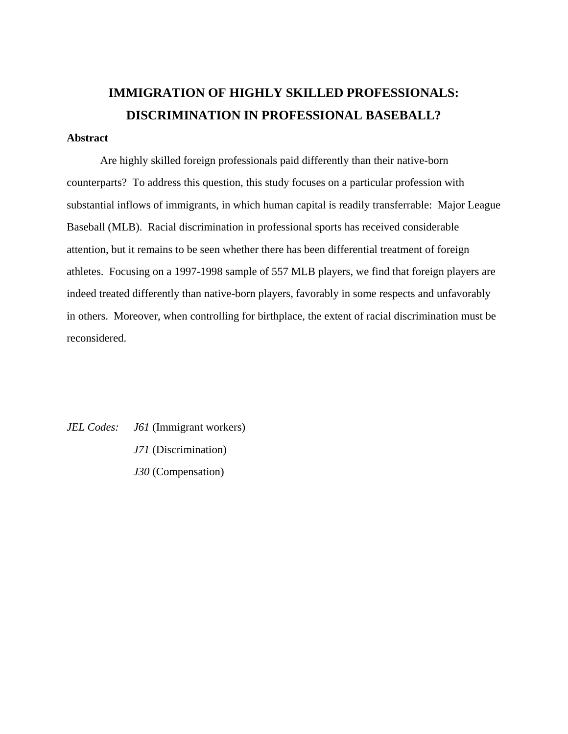# **IMMIGRATION OF HIGHLY SKILLED PROFESSIONALS: DISCRIMINATION IN PROFESSIONAL BASEBALL?**

### **Abstract**

Are highly skilled foreign professionals paid differently than their native-born counterparts? To address this question, this study focuses on a particular profession with substantial inflows of immigrants, in which human capital is readily transferrable: Major League Baseball (MLB). Racial discrimination in professional sports has received considerable attention, but it remains to be seen whether there has been differential treatment of foreign athletes. Focusing on a 1997-1998 sample of 557 MLB players, we find that foreign players are indeed treated differently than native-born players, favorably in some respects and unfavorably in others. Moreover, when controlling for birthplace, the extent of racial discrimination must be reconsidered.

*JEL Codes: J61* (Immigrant workers) *J71* (Discrimination) *J30* (Compensation)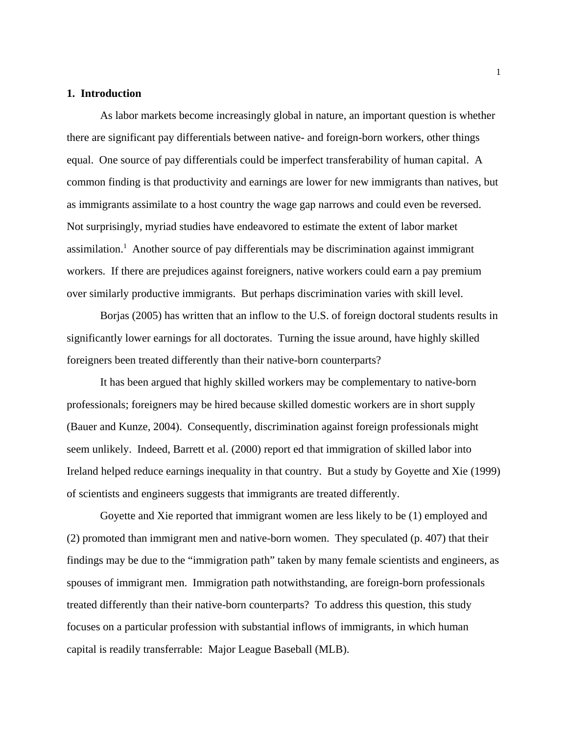#### **1. Introduction**

As labor markets become increasingly global in nature, an important question is whether there are significant pay differentials between native- and foreign-born workers, other things equal. One source of pay differentials could be imperfect transferability of human capital. A common finding is that productivity and earnings are lower for new immigrants than natives, but as immigrants assimilate to a host country the wage gap narrows and could even be reversed. Not surprisingly, myriad studies have endeavored to estimate the extent of labor market assimilation.<sup>1</sup> Another source of pay differentials may be discrimination against immigrant workers. If there are prejudices against foreigners, native workers could earn a pay premium over similarly productive immigrants. But perhaps discrimination varies with skill level.

Borjas (2005) has written that an inflow to the U.S. of foreign doctoral students results in significantly lower earnings for all doctorates. Turning the issue around, have highly skilled foreigners been treated differently than their native-born counterparts?

It has been argued that highly skilled workers may be complementary to native-born professionals; foreigners may be hired because skilled domestic workers are in short supply (Bauer and Kunze, 2004). Consequently, discrimination against foreign professionals might seem unlikely. Indeed, Barrett et al. (2000) report ed that immigration of skilled labor into Ireland helped reduce earnings inequality in that country. But a study by Goyette and Xie (1999) of scientists and engineers suggests that immigrants are treated differently.

Goyette and Xie reported that immigrant women are less likely to be (1) employed and (2) promoted than immigrant men and native-born women. They speculated (p. 407) that their findings may be due to the "immigration path" taken by many female scientists and engineers, as spouses of immigrant men. Immigration path notwithstanding, are foreign-born professionals treated differently than their native-born counterparts? To address this question, this study focuses on a particular profession with substantial inflows of immigrants, in which human capital is readily transferrable: Major League Baseball (MLB).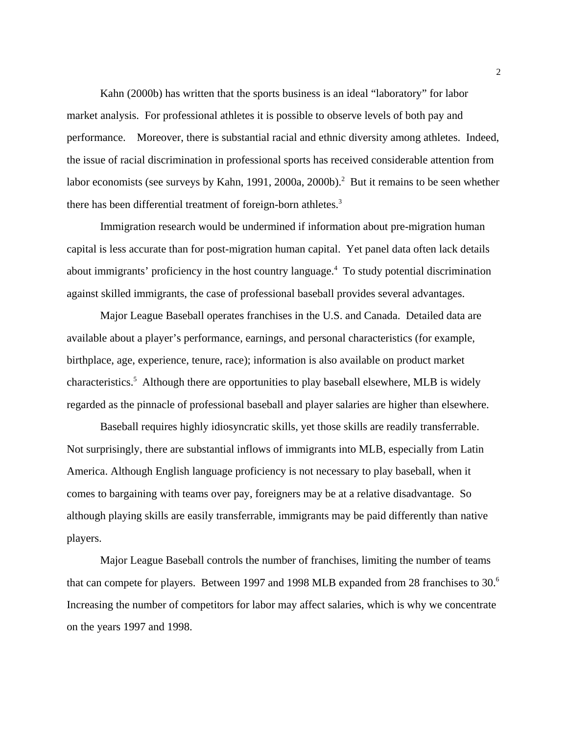Kahn (2000b) has written that the sports business is an ideal "laboratory" for labor market analysis. For professional athletes it is possible to observe levels of both pay and performance. Moreover, there is substantial racial and ethnic diversity among athletes. Indeed, the issue of racial discrimination in professional sports has received considerable attention from labor economists (see surveys by Kahn, 1991, 2000a, 2000b).<sup>2</sup> But it remains to be seen whether there has been differential treatment of foreign-born athletes.<sup>3</sup>

Immigration research would be undermined if information about pre-migration human capital is less accurate than for post-migration human capital. Yet panel data often lack details about immigrants' proficiency in the host country language.<sup>4</sup> To study potential discrimination against skilled immigrants, the case of professional baseball provides several advantages.

Major League Baseball operates franchises in the U.S. and Canada. Detailed data are available about a player's performance, earnings, and personal characteristics (for example, birthplace, age, experience, tenure, race); information is also available on product market characteristics.<sup>5</sup> Although there are opportunities to play baseball elsewhere, MLB is widely regarded as the pinnacle of professional baseball and player salaries are higher than elsewhere.

Baseball requires highly idiosyncratic skills, yet those skills are readily transferrable. Not surprisingly, there are substantial inflows of immigrants into MLB, especially from Latin America. Although English language proficiency is not necessary to play baseball, when it comes to bargaining with teams over pay, foreigners may be at a relative disadvantage. So although playing skills are easily transferrable, immigrants may be paid differently than native players.

Major League Baseball controls the number of franchises, limiting the number of teams that can compete for players. Between 1997 and 1998 MLB expanded from 28 franchises to 30.<sup>6</sup> Increasing the number of competitors for labor may affect salaries, which is why we concentrate on the years 1997 and 1998.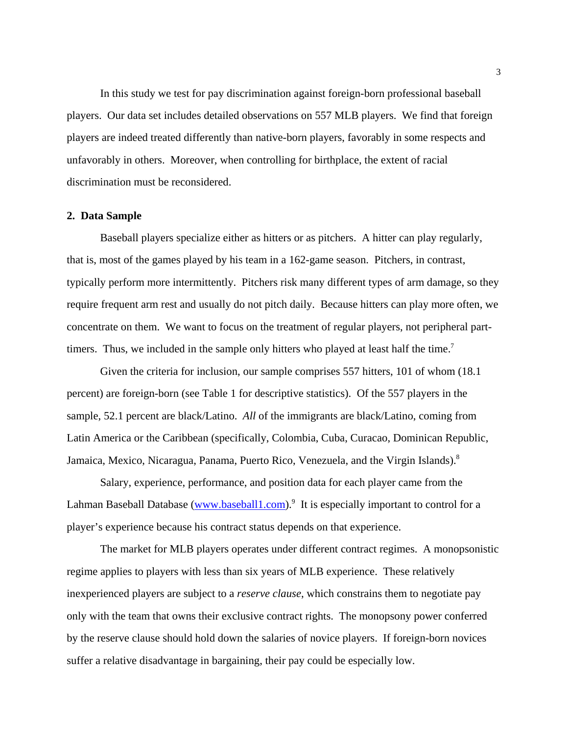In this study we test for pay discrimination against foreign-born professional baseball players. Our data set includes detailed observations on 557 MLB players. We find that foreign players are indeed treated differently than native-born players, favorably in some respects and unfavorably in others. Moreover, when controlling for birthplace, the extent of racial discrimination must be reconsidered.

#### **2. Data Sample**

Baseball players specialize either as hitters or as pitchers. A hitter can play regularly, that is, most of the games played by his team in a 162-game season. Pitchers, in contrast, typically perform more intermittently. Pitchers risk many different types of arm damage, so they require frequent arm rest and usually do not pitch daily. Because hitters can play more often, we concentrate on them. We want to focus on the treatment of regular players, not peripheral parttimers. Thus, we included in the sample only hitters who played at least half the time.<sup>7</sup>

Given the criteria for inclusion, our sample comprises 557 hitters, 101 of whom (18.1 percent) are foreign-born (see Table 1 for descriptive statistics). Of the 557 players in the sample, 52.1 percent are black/Latino. *All* of the immigrants are black/Latino, coming from Latin America or the Caribbean (specifically, Colombia, Cuba, Curacao, Dominican Republic, Jamaica, Mexico, Nicaragua, Panama, Puerto Rico, Venezuela, and the Virgin Islands).<sup>8</sup>

Salary, experience, performance, and position data for each player came from the Lahman Baseball Database (www.baseball1.com).<sup>9</sup> It is especially important to control for a player's experience because his contract status depends on that experience.

The market for MLB players operates under different contract regimes. A monopsonistic regime applies to players with less than six years of MLB experience. These relatively inexperienced players are subject to a *reserve clause*, which constrains them to negotiate pay only with the team that owns their exclusive contract rights. The monopsony power conferred by the reserve clause should hold down the salaries of novice players. If foreign-born novices suffer a relative disadvantage in bargaining, their pay could be especially low.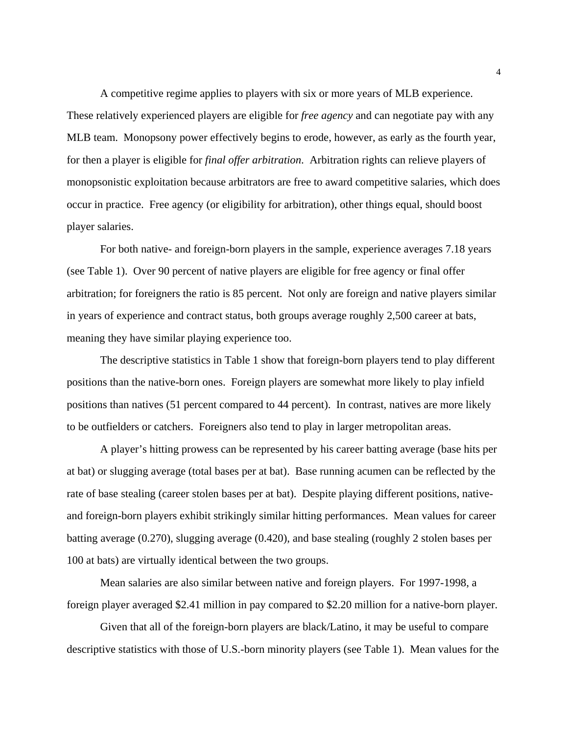A competitive regime applies to players with six or more years of MLB experience. These relatively experienced players are eligible for *free agency* and can negotiate pay with any MLB team. Monopsony power effectively begins to erode, however, as early as the fourth year, for then a player is eligible for *final offer arbitration*. Arbitration rights can relieve players of monopsonistic exploitation because arbitrators are free to award competitive salaries, which does occur in practice. Free agency (or eligibility for arbitration), other things equal, should boost player salaries.

 For both native- and foreign-born players in the sample, experience averages 7.18 years (see Table 1). Over 90 percent of native players are eligible for free agency or final offer arbitration; for foreigners the ratio is 85 percent. Not only are foreign and native players similar in years of experience and contract status, both groups average roughly 2,500 career at bats, meaning they have similar playing experience too.

The descriptive statistics in Table 1 show that foreign-born players tend to play different positions than the native-born ones. Foreign players are somewhat more likely to play infield positions than natives (51 percent compared to 44 percent). In contrast, natives are more likely to be outfielders or catchers. Foreigners also tend to play in larger metropolitan areas.

A player's hitting prowess can be represented by his career batting average (base hits per at bat) or slugging average (total bases per at bat). Base running acumen can be reflected by the rate of base stealing (career stolen bases per at bat). Despite playing different positions, nativeand foreign-born players exhibit strikingly similar hitting performances. Mean values for career batting average (0.270), slugging average (0.420), and base stealing (roughly 2 stolen bases per 100 at bats) are virtually identical between the two groups.

Mean salaries are also similar between native and foreign players. For 1997-1998, a foreign player averaged \$2.41 million in pay compared to \$2.20 million for a native-born player.

Given that all of the foreign-born players are black/Latino, it may be useful to compare descriptive statistics with those of U.S.-born minority players (see Table 1). Mean values for the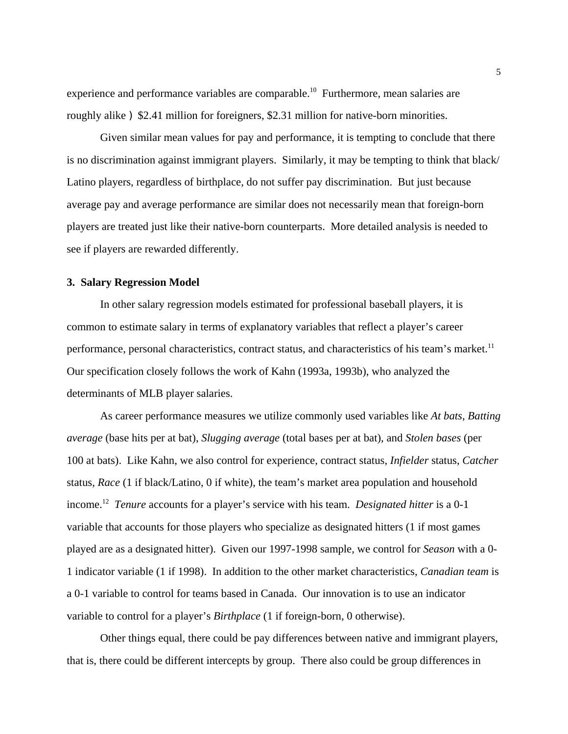experience and performance variables are comparable.<sup>10</sup> Furthermore, mean salaries are roughly alike ) \$2.41 million for foreigners, \$2.31 million for native-born minorities.

Given similar mean values for pay and performance, it is tempting to conclude that there is no discrimination against immigrant players. Similarly, it may be tempting to think that black/ Latino players, regardless of birthplace, do not suffer pay discrimination. But just because average pay and average performance are similar does not necessarily mean that foreign-born players are treated just like their native-born counterparts. More detailed analysis is needed to see if players are rewarded differently.

#### **3. Salary Regression Model**

In other salary regression models estimated for professional baseball players, it is common to estimate salary in terms of explanatory variables that reflect a player's career performance, personal characteristics, contract status, and characteristics of his team's market.<sup>11</sup> Our specification closely follows the work of Kahn (1993a, 1993b), who analyzed the determinants of MLB player salaries.

As career performance measures we utilize commonly used variables like *At bats*, *Batting average* (base hits per at bat), *Slugging average* (total bases per at bat), and *Stolen bases* (per 100 at bats). Like Kahn, we also control for experience, contract status, *Infielder* status, *Catcher* status, *Race* (1 if black/Latino, 0 if white), the team's market area population and household income.12 *Tenure* accounts for a player's service with his team. *Designated hitter* is a 0-1 variable that accounts for those players who specialize as designated hitters (1 if most games played are as a designated hitter). Given our 1997-1998 sample, we control for *Season* with a 0- 1 indicator variable (1 if 1998). In addition to the other market characteristics, *Canadian team* is a 0-1 variable to control for teams based in Canada. Our innovation is to use an indicator variable to control for a player's *Birthplace* (1 if foreign-born, 0 otherwise).

Other things equal, there could be pay differences between native and immigrant players, that is, there could be different intercepts by group. There also could be group differences in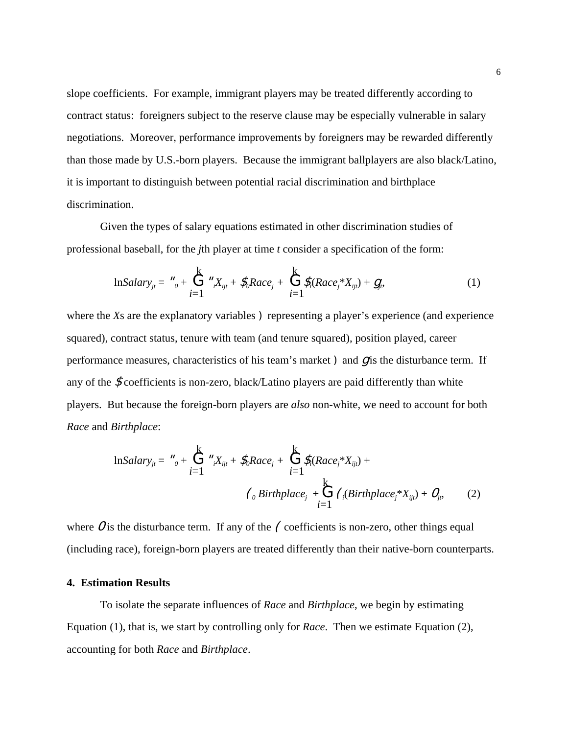slope coefficients. For example, immigrant players may be treated differently according to contract status: foreigners subject to the reserve clause may be especially vulnerable in salary negotiations. Moreover, performance improvements by foreigners may be rewarded differently than those made by U.S.-born players. Because the immigrant ballplayers are also black/Latino, it is important to distinguish between potential racial discrimination and birthplace discrimination.

Given the types of salary equations estimated in other discrimination studies of professional baseball, for the *j*th player at time *t* consider a specification of the form:

$$
lnSalary_{jt} = \mathbf{u}_0 + \sum_{i=1}^{k} \mathbf{u}_i X_{ijt} + \mathbf{F}_0 Rac_{j} + \sum_{i=1}^{k} \mathbf{F}_i(Race_j^* X_{ijt}) + \mathbf{g}_i,
$$
 (1)

where the *X*s are the explanatory variables **)** representing a player's experience (and experience squared), contract status, tenure with team (and tenure squared), position played, career performance measures, characteristics of his team's market  $\sum$  and  $\sum$  is the disturbance term. If any of the  $\mathcal{F}$ coefficients is non-zero, black/Latino players are paid differently than white players. But because the foreign-born players are *also* non-white, we need to account for both *Race* and *Birthplace*:

$$
\ln Salary_{jt} = \frac{\boldsymbol{w}}{\boldsymbol{\delta}} + \sum_{i=1}^{k} \frac{\boldsymbol{w}}{\boldsymbol{\delta}} \mathbf{X}_{ijt} + \mathbf{S}_{i} Race_{j} + \sum_{i=1}^{k} \mathbf{S}_{i} (Race_{j}^{*} X_{ijt}) + \left(\frac{\boldsymbol{\delta}}{\boldsymbol{\delta}} \mathbf{S}_{i} (Birthplace_{j}^{*} X_{ijt}) + \boldsymbol{Q}_{i}, \right)
$$
\n
$$
\left(\frac{\boldsymbol{\delta}}{\boldsymbol{\delta}} \mathbf{B}_{i}^{*} + \sum_{i=1}^{k} \frac{\boldsymbol{\delta}}{\boldsymbol{\delta}} \mathbf{S}_{i} (Birthplace_{j}^{*} X_{ijt}) + \boldsymbol{Q}_{i}, \right)
$$
\n
$$
\left(\frac{\boldsymbol{\delta}}{\boldsymbol{\delta}} \mathbf{B}_{i}^{*} + \sum_{i=1}^{k} \frac{\boldsymbol{\delta}}{\boldsymbol{\delta}} \mathbf{S}_{i} (Birthplace_{j}^{*} X_{ijt}) + \boldsymbol{Q}_{i}, \right)
$$
\n
$$
\left(\frac{\boldsymbol{\delta}}{\boldsymbol{\delta}} \mathbf{B}_{i}^{*} + \sum_{i=1}^{k} \frac{\boldsymbol{\delta}}{\boldsymbol{\delta}} \mathbf{S}_{i} (Birthplace_{j}^{*} X_{ijt}) + \boldsymbol{Q}_{i}, \right)
$$
\n
$$
\left(\frac{\boldsymbol{\delta}}{\boldsymbol{\delta}} \mathbf{B}_{i}^{*} + \sum_{i=1}^{k} \frac{\boldsymbol{\delta}}{\boldsymbol{\delta}} \mathbf{S}_{i} (Birthplace_{j}^{*} X_{ijt}) + \boldsymbol{Q}_{i}, \right)
$$
\n
$$
\left(\frac{\boldsymbol{\delta}}{\boldsymbol{\delta}} \mathbf{B}_{i}^{*} + \sum_{i=1}^{k} \frac{\boldsymbol{\delta}}{\boldsymbol{\delta}} \mathbf{S}_{i} (Birthplace_{j}^{*} X_{ijt}) + \boldsymbol{Q}_{i}, \right)
$$

where  $\sigma$  is the disturbance term. If any of the  $\epsilon$  coefficients is non-zero, other things equal (including race), foreign-born players are treated differently than their native-born counterparts.

#### **4. Estimation Results**

To isolate the separate influences of *Race* and *Birthplace*, we begin by estimating Equation (1), that is, we start by controlling only for *Race*. Then we estimate Equation (2), accounting for both *Race* and *Birthplace*.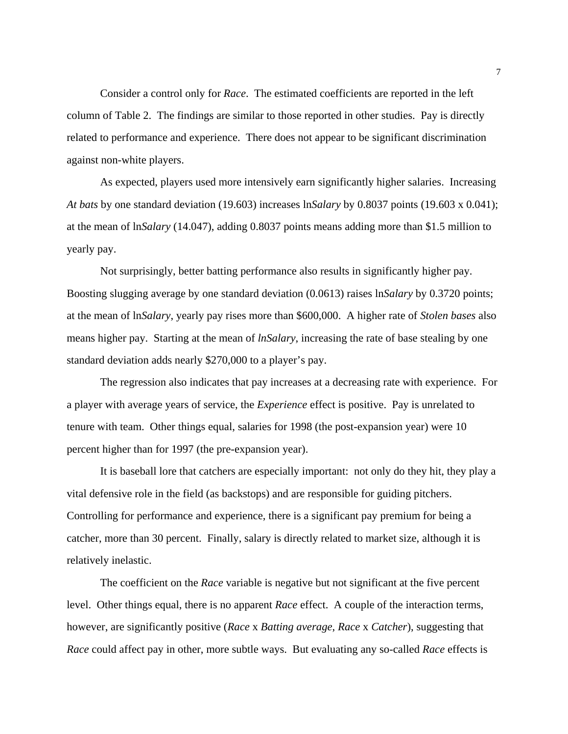Consider a control only for *Race*. The estimated coefficients are reported in the left column of Table 2. The findings are similar to those reported in other studies. Pay is directly related to performance and experience. There does not appear to be significant discrimination against non-white players.

As expected, players used more intensively earn significantly higher salaries. Increasing *At bats* by one standard deviation (19.603) increases ln*Salary* by 0.8037 points (19.603 x 0.041); at the mean of ln*Salary* (14.047), adding 0.8037 points means adding more than \$1.5 million to yearly pay.

Not surprisingly, better batting performance also results in significantly higher pay. Boosting slugging average by one standard deviation (0.0613) raises ln*Salary* by 0.3720 points; at the mean of ln*Salary*, yearly pay rises more than \$600,000. A higher rate of *Stolen bases* also means higher pay. Starting at the mean of *lnSalary*, increasing the rate of base stealing by one standard deviation adds nearly \$270,000 to a player's pay.

The regression also indicates that pay increases at a decreasing rate with experience. For a player with average years of service, the *Experience* effect is positive. Pay is unrelated to tenure with team. Other things equal, salaries for 1998 (the post-expansion year) were 10 percent higher than for 1997 (the pre-expansion year).

It is baseball lore that catchers are especially important: not only do they hit, they play a vital defensive role in the field (as backstops) and are responsible for guiding pitchers. Controlling for performance and experience, there is a significant pay premium for being a catcher, more than 30 percent. Finally, salary is directly related to market size, although it is relatively inelastic.

The coefficient on the *Race* variable is negative but not significant at the five percent level. Other things equal, there is no apparent *Race* effect. A couple of the interaction terms, however, are significantly positive (*Race* x *Batting average*, *Race* x *Catcher*), suggesting that *Race* could affect pay in other, more subtle ways. But evaluating any so-called *Race* effects is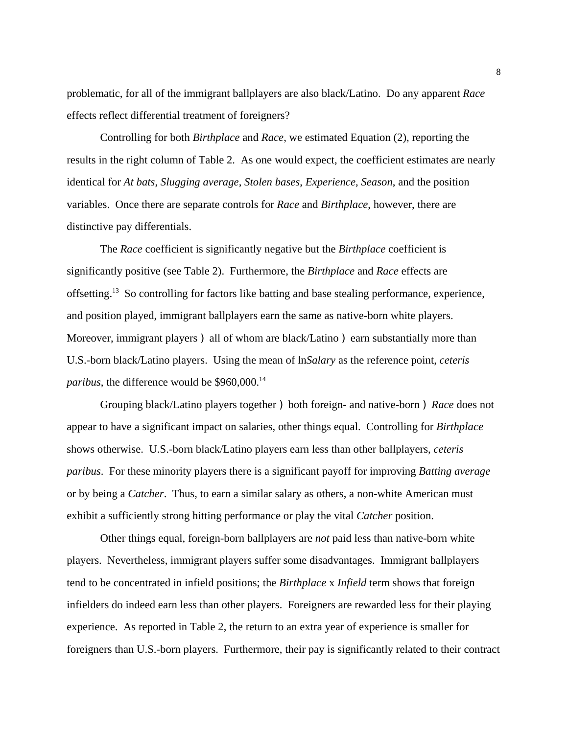problematic, for all of the immigrant ballplayers are also black/Latino. Do any apparent *Race* effects reflect differential treatment of foreigners?

Controlling for both *Birthplace* and *Race*, we estimated Equation (2), reporting the results in the right column of Table 2. As one would expect, the coefficient estimates are nearly identical for *At bats*, *Slugging average*, *Stolen bases*, *Experience*, *Season*, and the position variables. Once there are separate controls for *Race* and *Birthplace*, however, there are distinctive pay differentials.

The *Race* coefficient is significantly negative but the *Birthplace* coefficient is significantly positive (see Table 2). Furthermore, the *Birthplace* and *Race* effects are offsetting.13 So controlling for factors like batting and base stealing performance, experience, and position played, immigrant ballplayers earn the same as native-born white players. Moreover, immigrant players ) all of whom are black/Latino ) earn substantially more than U.S.-born black/Latino players. Using the mean of ln*Salary* as the reference point, *ceteris paribus*, the difference would be \$960,000.<sup>14</sup>

Grouping black/Latino players together ) both foreign- and native-born ) *Race* does not appear to have a significant impact on salaries, other things equal. Controlling for *Birthplace* shows otherwise. U.S.-born black/Latino players earn less than other ballplayers, *ceteris paribus*. For these minority players there is a significant payoff for improving *Batting average* or by being a *Catcher*. Thus, to earn a similar salary as others, a non-white American must exhibit a sufficiently strong hitting performance or play the vital *Catcher* position.

Other things equal, foreign-born ballplayers are *not* paid less than native-born white players. Nevertheless, immigrant players suffer some disadvantages. Immigrant ballplayers tend to be concentrated in infield positions; the *Birthplace* x *Infield* term shows that foreign infielders do indeed earn less than other players. Foreigners are rewarded less for their playing experience. As reported in Table 2, the return to an extra year of experience is smaller for foreigners than U.S.-born players. Furthermore, their pay is significantly related to their contract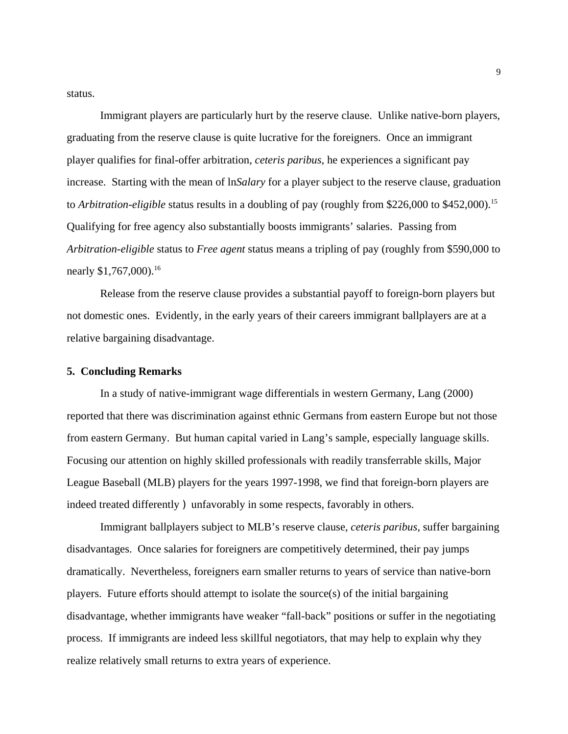status.

Immigrant players are particularly hurt by the reserve clause. Unlike native-born players, graduating from the reserve clause is quite lucrative for the foreigners. Once an immigrant player qualifies for final-offer arbitration, *ceteris paribus*, he experiences a significant pay increase. Starting with the mean of ln*Salary* for a player subject to the reserve clause, graduation to *Arbitration-eligible* status results in a doubling of pay (roughly from \$226,000 to \$452,000).<sup>15</sup> Qualifying for free agency also substantially boosts immigrants' salaries. Passing from *Arbitration-eligible* status to *Free agent* status means a tripling of pay (roughly from \$590,000 to nearly \$1,767,000).<sup>16</sup>

Release from the reserve clause provides a substantial payoff to foreign-born players but not domestic ones. Evidently, in the early years of their careers immigrant ballplayers are at a relative bargaining disadvantage.

#### **5. Concluding Remarks**

In a study of native-immigrant wage differentials in western Germany, Lang (2000) reported that there was discrimination against ethnic Germans from eastern Europe but not those from eastern Germany. But human capital varied in Lang's sample, especially language skills. Focusing our attention on highly skilled professionals with readily transferrable skills, Major League Baseball (MLB) players for the years 1997-1998, we find that foreign-born players are indeed treated differently ) unfavorably in some respects, favorably in others.

Immigrant ballplayers subject to MLB's reserve clause, *ceteris paribus*, suffer bargaining disadvantages. Once salaries for foreigners are competitively determined, their pay jumps dramatically. Nevertheless, foreigners earn smaller returns to years of service than native-born players. Future efforts should attempt to isolate the source(s) of the initial bargaining disadvantage, whether immigrants have weaker "fall-back" positions or suffer in the negotiating process. If immigrants are indeed less skillful negotiators, that may help to explain why they realize relatively small returns to extra years of experience.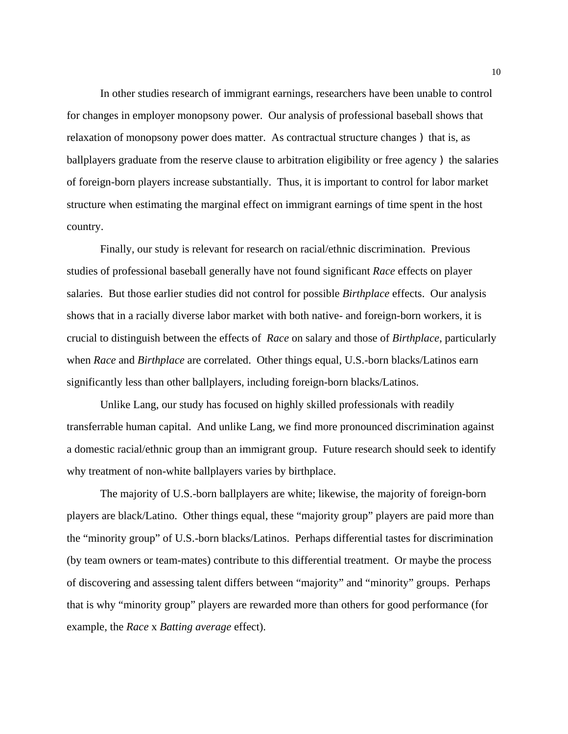In other studies research of immigrant earnings, researchers have been unable to control for changes in employer monopsony power. Our analysis of professional baseball shows that relaxation of monopsony power does matter. As contractual structure changes ) that is, as ballplayers graduate from the reserve clause to arbitration eligibility or free agency  $\lambda$  the salaries of foreign-born players increase substantially. Thus, it is important to control for labor market structure when estimating the marginal effect on immigrant earnings of time spent in the host country.

Finally, our study is relevant for research on racial/ethnic discrimination. Previous studies of professional baseball generally have not found significant *Race* effects on player salaries. But those earlier studies did not control for possible *Birthplace* effects. Our analysis shows that in a racially diverse labor market with both native- and foreign-born workers, it is crucial to distinguish between the effects of *Race* on salary and those of *Birthplace*, particularly when *Race* and *Birthplace* are correlated. Other things equal, U.S.-born blacks/Latinos earn significantly less than other ballplayers, including foreign-born blacks/Latinos.

Unlike Lang, our study has focused on highly skilled professionals with readily transferrable human capital. And unlike Lang, we find more pronounced discrimination against a domestic racial/ethnic group than an immigrant group. Future research should seek to identify why treatment of non-white ballplayers varies by birthplace.

The majority of U.S.-born ballplayers are white; likewise, the majority of foreign-born players are black/Latino. Other things equal, these "majority group" players are paid more than the "minority group" of U.S.-born blacks/Latinos. Perhaps differential tastes for discrimination (by team owners or team-mates) contribute to this differential treatment. Or maybe the process of discovering and assessing talent differs between "majority" and "minority" groups. Perhaps that is why "minority group" players are rewarded more than others for good performance (for example, the *Race* x *Batting average* effect).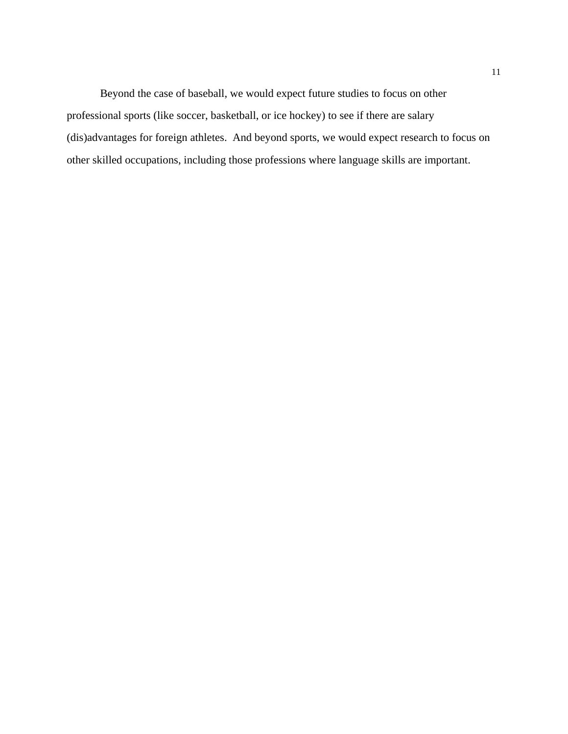Beyond the case of baseball, we would expect future studies to focus on other professional sports (like soccer, basketball, or ice hockey) to see if there are salary (dis)advantages for foreign athletes. And beyond sports, we would expect research to focus on other skilled occupations, including those professions where language skills are important.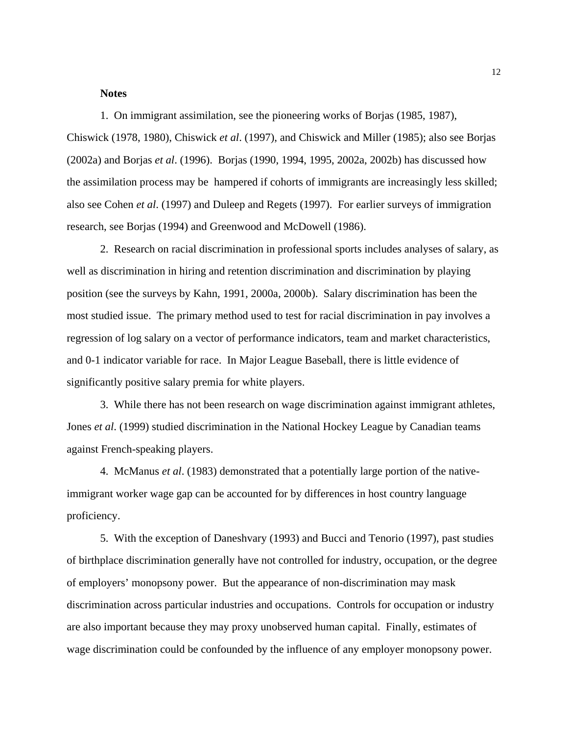#### **Notes**

1. On immigrant assimilation, see the pioneering works of Borjas (1985, 1987), Chiswick (1978, 1980), Chiswick *et al*. (1997), and Chiswick and Miller (1985); also see Borjas (2002a) and Borjas *et al*. (1996). Borjas (1990, 1994, 1995, 2002a, 2002b) has discussed how the assimilation process may be hampered if cohorts of immigrants are increasingly less skilled; also see Cohen *et al*. (1997) and Duleep and Regets (1997). For earlier surveys of immigration research, see Borjas (1994) and Greenwood and McDowell (1986).

2. Research on racial discrimination in professional sports includes analyses of salary, as well as discrimination in hiring and retention discrimination and discrimination by playing position (see the surveys by Kahn, 1991, 2000a, 2000b). Salary discrimination has been the most studied issue. The primary method used to test for racial discrimination in pay involves a regression of log salary on a vector of performance indicators, team and market characteristics, and 0-1 indicator variable for race. In Major League Baseball, there is little evidence of significantly positive salary premia for white players.

3. While there has not been research on wage discrimination against immigrant athletes, Jones *et al*. (1999) studied discrimination in the National Hockey League by Canadian teams against French-speaking players.

4. McManus *et al*. (1983) demonstrated that a potentially large portion of the nativeimmigrant worker wage gap can be accounted for by differences in host country language proficiency.

5. With the exception of Daneshvary (1993) and Bucci and Tenorio (1997), past studies of birthplace discrimination generally have not controlled for industry, occupation, or the degree of employers' monopsony power. But the appearance of non-discrimination may mask discrimination across particular industries and occupations. Controls for occupation or industry are also important because they may proxy unobserved human capital. Finally, estimates of wage discrimination could be confounded by the influence of any employer monopsony power.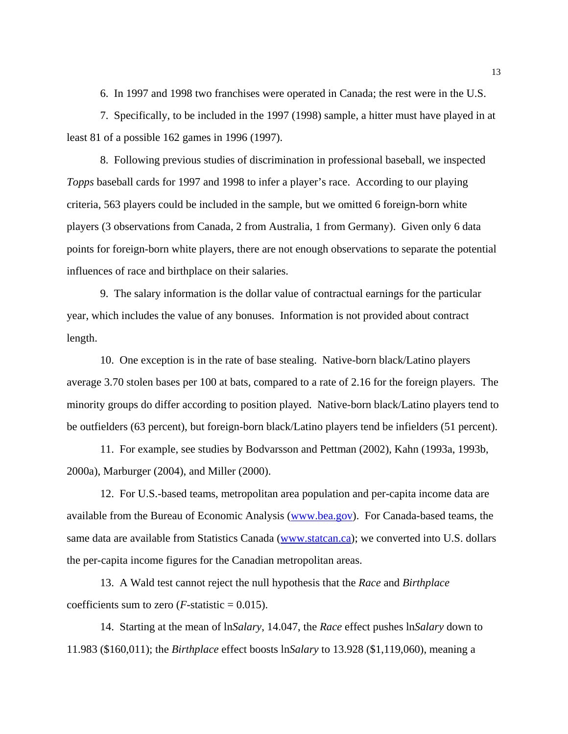6. In 1997 and 1998 two franchises were operated in Canada; the rest were in the U.S.

7. Specifically, to be included in the 1997 (1998) sample, a hitter must have played in at least 81 of a possible 162 games in 1996 (1997).

8. Following previous studies of discrimination in professional baseball, we inspected *Topps* baseball cards for 1997 and 1998 to infer a player's race. According to our playing criteria, 563 players could be included in the sample, but we omitted 6 foreign-born white players (3 observations from Canada, 2 from Australia, 1 from Germany). Given only 6 data points for foreign-born white players, there are not enough observations to separate the potential influences of race and birthplace on their salaries.

9. The salary information is the dollar value of contractual earnings for the particular year, which includes the value of any bonuses. Information is not provided about contract length.

10. One exception is in the rate of base stealing. Native-born black/Latino players average 3.70 stolen bases per 100 at bats, compared to a rate of 2.16 for the foreign players. The minority groups do differ according to position played. Native-born black/Latino players tend to be outfielders (63 percent), but foreign-born black/Latino players tend be infielders (51 percent).

11. For example, see studies by Bodvarsson and Pettman (2002), Kahn (1993a, 1993b, 2000a), Marburger (2004), and Miller (2000).

12. For U.S.-based teams, metropolitan area population and per-capita income data are available from the Bureau of Economic Analysis (www.bea.gov). For Canada-based teams, the same data are available from Statistics Canada (www.statcan.ca); we converted into U.S. dollars the per-capita income figures for the Canadian metropolitan areas.

13. A Wald test cannot reject the null hypothesis that the *Race* and *Birthplace* coefficients sum to zero ( $F$ -statistic = 0.015).

14. Starting at the mean of ln*Salary*, 14.047, the *Race* effect pushes ln*Salary* down to 11.983 (\$160,011); the *Birthplace* effect boosts ln*Salary* to 13.928 (\$1,119,060), meaning a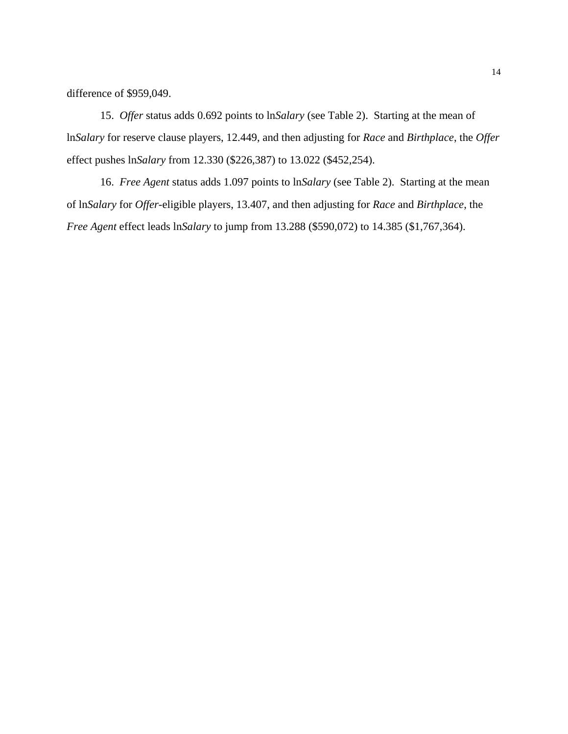difference of \$959,049.

15. *Offer* status adds 0.692 points to ln*Salary* (see Table 2). Starting at the mean of ln*Salary* for reserve clause players, 12.449, and then adjusting for *Race* and *Birthplace*, the *Offer* effect pushes ln*Salary* from 12.330 (\$226,387) to 13.022 (\$452,254).

16. *Free Agent* status adds 1.097 points to ln*Salary* (see Table 2). Starting at the mean of ln*Salary* for *Offer*-eligible players, 13.407, and then adjusting for *Race* and *Birthplace*, the *Free Agent* effect leads ln*Salary* to jump from 13.288 (\$590,072) to 14.385 (\$1,767,364).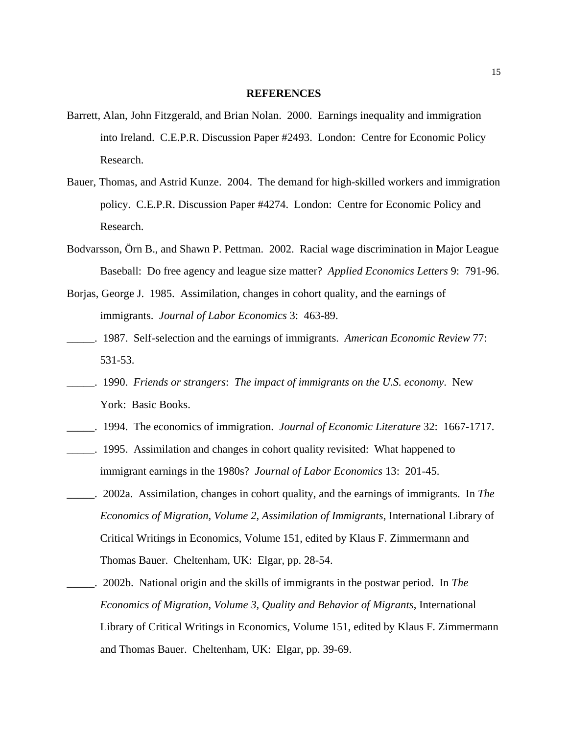#### **REFERENCES**

- Barrett, Alan, John Fitzgerald, and Brian Nolan. 2000. Earnings inequality and immigration into Ireland. C.E.P.R. Discussion Paper #2493. London: Centre for Economic Policy Research.
- Bauer, Thomas, and Astrid Kunze. 2004. The demand for high-skilled workers and immigration policy. C.E.P.R. Discussion Paper #4274. London: Centre for Economic Policy and Research.
- Bodvarsson, Örn B., and Shawn P. Pettman. 2002. Racial wage discrimination in Major League Baseball: Do free agency and league size matter? *Applied Economics Letters* 9: 791-96.
- Borjas, George J. 1985. Assimilation, changes in cohort quality, and the earnings of immigrants. *Journal of Labor Economics* 3: 463-89.
- \_\_\_\_\_. 1987. Self-selection and the earnings of immigrants. *American Economic Review* 77: 531-53.
- \_\_\_\_\_. 1990. *Friends or strangers*: *The impact of immigrants on the U.S. economy*. New York: Basic Books.
- \_\_\_\_\_. 1994. The economics of immigration. *Journal of Economic Literature* 32: 1667-1717.
- \_\_\_\_\_. 1995. Assimilation and changes in cohort quality revisited: What happened to immigrant earnings in the 1980s? *Journal of Labor Economics* 13: 201-45.
- \_\_\_\_\_. 2002a. Assimilation, changes in cohort quality, and the earnings of immigrants. In *The Economics of Migration, Volume 2, Assimilation of Immigrants*, International Library of Critical Writings in Economics, Volume 151, edited by Klaus F. Zimmermann and Thomas Bauer. Cheltenham, UK: Elgar, pp. 28-54.
- \_\_\_\_\_. 2002b. National origin and the skills of immigrants in the postwar period. In *The Economics of Migration, Volume 3, Quality and Behavior of Migrants*, International Library of Critical Writings in Economics, Volume 151, edited by Klaus F. Zimmermann and Thomas Bauer. Cheltenham, UK: Elgar, pp. 39-69.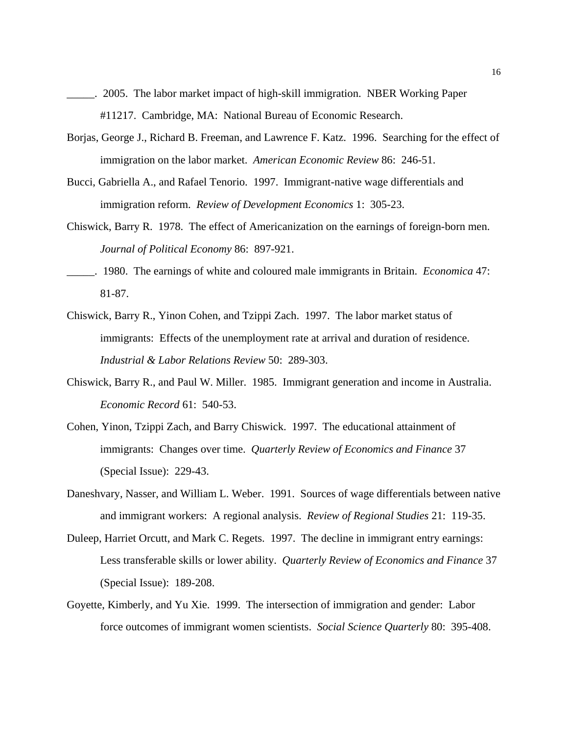- \_\_\_\_\_. 2005. The labor market impact of high-skill immigration. NBER Working Paper #11217. Cambridge, MA: National Bureau of Economic Research.
- Borjas, George J., Richard B. Freeman, and Lawrence F. Katz. 1996. Searching for the effect of immigration on the labor market. *American Economic Review* 86: 246-51.
- Bucci, Gabriella A., and Rafael Tenorio. 1997. Immigrant-native wage differentials and immigration reform. *Review of Development Economics* 1: 305-23.
- Chiswick, Barry R. 1978. The effect of Americanization on the earnings of foreign-born men. *Journal of Political Economy* 86: 897-921.
- \_\_\_\_\_. 1980. The earnings of white and coloured male immigrants in Britain. *Economica* 47: 81-87.
- Chiswick, Barry R., Yinon Cohen, and Tzippi Zach. 1997. The labor market status of immigrants: Effects of the unemployment rate at arrival and duration of residence. *Industrial & Labor Relations Review* 50: 289-303.
- Chiswick, Barry R., and Paul W. Miller. 1985. Immigrant generation and income in Australia. *Economic Record* 61: 540-53.
- Cohen, Yinon, Tzippi Zach, and Barry Chiswick. 1997. The educational attainment of immigrants: Changes over time. *Quarterly Review of Economics and Finance* 37 (Special Issue): 229-43.
- Daneshvary, Nasser, and William L. Weber. 1991. Sources of wage differentials between native and immigrant workers: A regional analysis. *Review of Regional Studies* 21: 119-35.
- Duleep, Harriet Orcutt, and Mark C. Regets. 1997. The decline in immigrant entry earnings: Less transferable skills or lower ability. *Quarterly Review of Economics and Finance* 37 (Special Issue): 189-208.
- Goyette, Kimberly, and Yu Xie. 1999. The intersection of immigration and gender: Labor force outcomes of immigrant women scientists. *Social Science Quarterly* 80: 395-408.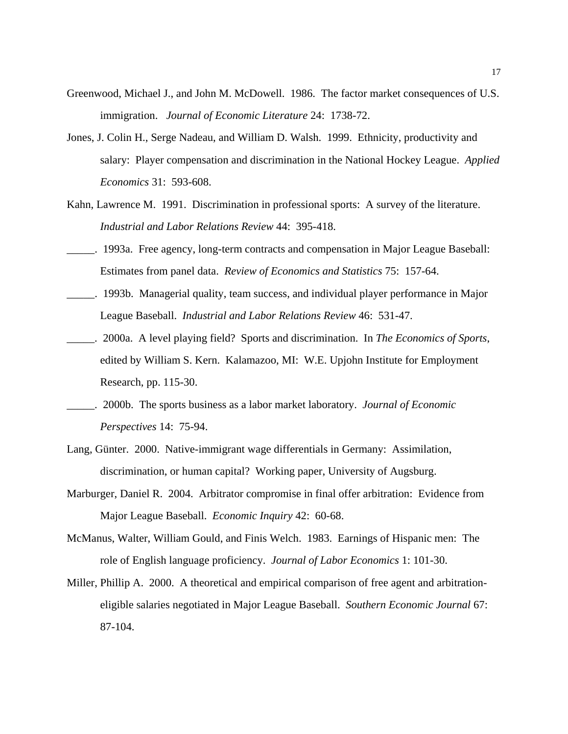- Greenwood, Michael J., and John M. McDowell. 1986. The factor market consequences of U.S. immigration. *Journal of Economic Literature* 24: 1738-72.
- Jones, J. Colin H., Serge Nadeau, and William D. Walsh. 1999. Ethnicity, productivity and salary: Player compensation and discrimination in the National Hockey League. *Applied Economics* 31: 593-608.
- Kahn, Lawrence M. 1991. Discrimination in professional sports: A survey of the literature. *Industrial and Labor Relations Review* 44: 395-418.
- \_\_\_\_\_. 1993a. Free agency, long-term contracts and compensation in Major League Baseball: Estimates from panel data. *Review of Economics and Statistics* 75: 157-64.
- \_\_\_\_\_. 1993b. Managerial quality, team success, and individual player performance in Major League Baseball. *Industrial and Labor Relations Review* 46: 531-47.
- \_\_\_\_\_. 2000a. A level playing field? Sports and discrimination. In *The Economics of Sports*, edited by William S. Kern. Kalamazoo, MI: W.E. Upjohn Institute for Employment Research, pp. 115-30.
- \_\_\_\_\_. 2000b. The sports business as a labor market laboratory. *Journal of Economic Perspectives* 14: 75-94.
- Lang, Günter. 2000. Native-immigrant wage differentials in Germany: Assimilation, discrimination, or human capital? Working paper, University of Augsburg.
- Marburger, Daniel R. 2004. Arbitrator compromise in final offer arbitration: Evidence from Major League Baseball. *Economic Inquiry* 42: 60-68.
- McManus, Walter, William Gould, and Finis Welch. 1983. Earnings of Hispanic men: The role of English language proficiency. *Journal of Labor Economics* 1: 101-30.
- Miller, Phillip A. 2000. A theoretical and empirical comparison of free agent and arbitrationeligible salaries negotiated in Major League Baseball. *Southern Economic Journal* 67: 87-104.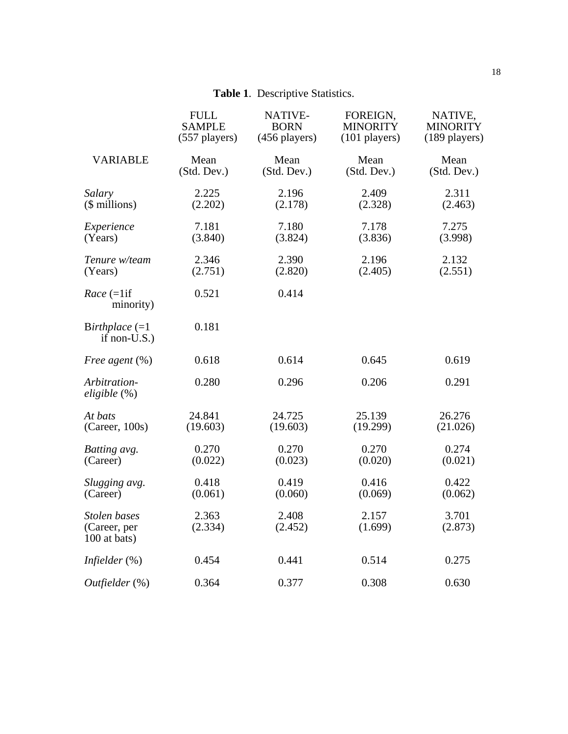### **Table 1**. Descriptive Statistics.

|                                              | <b>FULL</b>      | NATIVE-          | FOREIGN,         | NATIVE,          |
|----------------------------------------------|------------------|------------------|------------------|------------------|
|                                              | <b>SAMPLE</b>    | <b>BORN</b>      | <b>MINORITY</b>  | <b>MINORITY</b>  |
|                                              | $(557$ players)  | (456 players)    | $(101$ players)  | $(189$ players)  |
| <b>VARIABLE</b>                              | Mean             | Mean             | Mean             | Mean             |
|                                              | (Std. Dev.)      | (Std. Dev.)      | (Std. Dev.)      | (Std. Dev.)      |
| Salary                                       | 2.225            | 2.196            | 2.409            | 2.311            |
| $($$ millions)                               | (2.202)          | (2.178)          | (2.328)          | (2.463)          |
| Experience                                   | 7.181            | 7.180            | 7.178            | 7.275            |
| (Years)                                      | (3.840)          | (3.824)          | (3.836)          | (3.998)          |
| Tenure w/team                                | 2.346            | 2.390            | 2.196            | 2.132            |
| (Years)                                      | (2.751)          | (2.820)          | (2.405)          | (2.551)          |
| $Race$ (=1if<br>minority)                    | 0.521            | 0.414            |                  |                  |
| Birthplace $(=1)$<br>if non- $U.S.$ )        | 0.181            |                  |                  |                  |
| Free agent $(\%)$                            | 0.618            | 0.614            | 0.645            | 0.619            |
| Arbitration-<br>eligible (%)                 | 0.280            | 0.296            | 0.206            | 0.291            |
| At bats                                      | 24.841           | 24.725           | 25.139           | 26.276           |
| (Career, 100s)                               | (19.603)         | (19.603)         | (19.299)         | (21.026)         |
| Batting avg.                                 | 0.270            | 0.270            | 0.270            | 0.274            |
| (Career)                                     | (0.022)          | (0.023)          | (0.020)          | (0.021)          |
| Slugging avg.                                | 0.418            | 0.419            | 0.416            | 0.422            |
| (Career)                                     | (0.061)          | (0.060)          | (0.069)          | (0.062)          |
| Stolen bases<br>(Career, per<br>100 at bats) | 2.363<br>(2.334) | 2.408<br>(2.452) | 2.157<br>(1.699) | 3.701<br>(2.873) |
| Infielder $(\%)$                             | 0.454            | 0.441            | 0.514            | 0.275            |
| $Outfielder$ $(\%)$                          | 0.364            | 0.377            | 0.308            | 0.630            |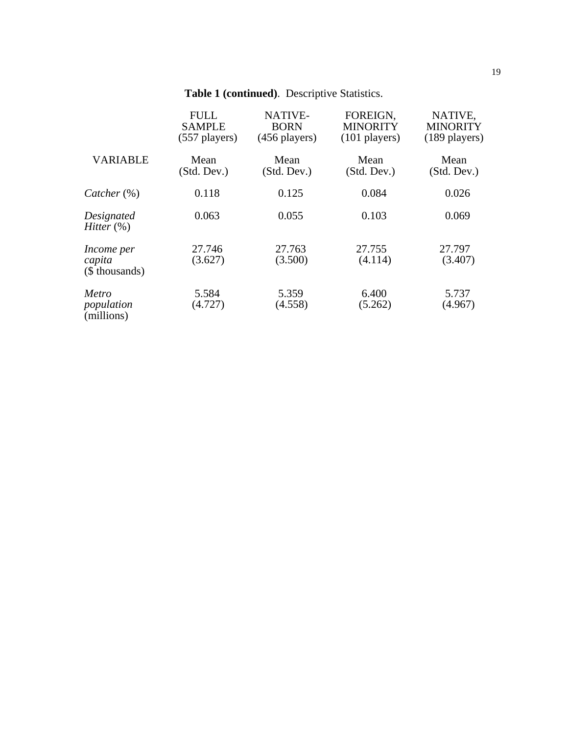## **Table 1 (continued)**. Descriptive Statistics.

|                                               | <b>FULL</b><br><b>SAMPLE</b><br>$(557$ players) | <b>NATIVE-</b><br><b>BORN</b><br>$(456$ players) | FOREIGN,<br><b>MINORITY</b><br>$(101$ players) | NATIVE,<br><b>MINORITY</b><br>$(189$ players) |
|-----------------------------------------------|-------------------------------------------------|--------------------------------------------------|------------------------------------------------|-----------------------------------------------|
| <b>VARIABLE</b>                               | Mean<br>(Std. Dev.)                             | Mean<br>(Std. Dev.)                              | Mean<br>(Std. Dev.)                            | Mean<br>(Std. Dev.)                           |
| $\textit{Catcher} (\%)$                       | 0.118                                           | 0.125                                            | 0.084                                          | 0.026                                         |
| Designated<br><i>Hitter</i> $(\%)$            | 0.063                                           | 0.055                                            | 0.103                                          | 0.069                                         |
| <i>Income per</i><br>capita<br>(\$ thousands) | 27.746<br>(3.627)                               | 27.763<br>(3.500)                                | 27.755<br>(4.114)                              | 27.797<br>(3.407)                             |
| Metro<br>population<br>(millions)             | 5.584<br>(4.727)                                | 5.359<br>(4.558)                                 | 6.400<br>(5.262)                               | 5.737<br>(4.967)                              |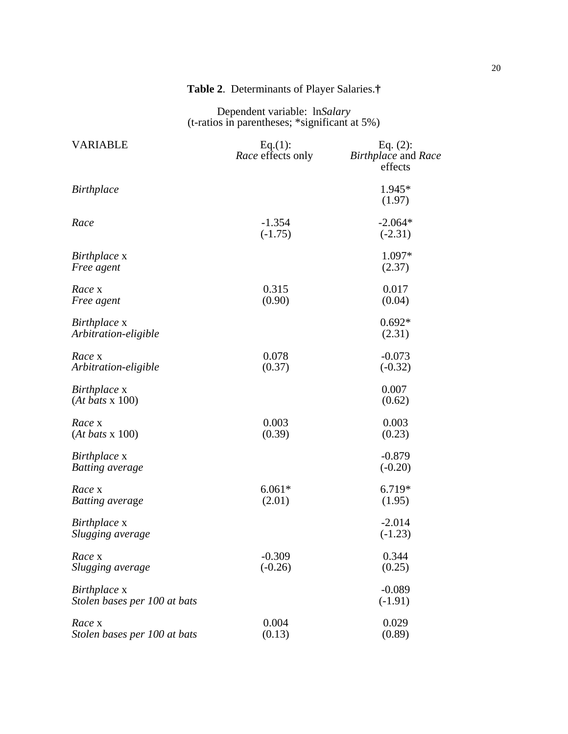| <b>VARIABLE</b>                              | Eq.(1):<br><i>Race</i> effects only | Eq. $(2)$ :<br>Birthplace and Race<br>effects |
|----------------------------------------------|-------------------------------------|-----------------------------------------------|
| <b>Birthplace</b>                            |                                     | 1.945*<br>(1.97)                              |
| Race                                         | $-1.354$<br>$(-1.75)$               | $-2.064*$<br>$(-2.31)$                        |
| Birthplace x<br>Free agent                   |                                     | 1.097*<br>(2.37)                              |
| Race x<br>Free agent                         | 0.315<br>(0.90)                     | 0.017<br>(0.04)                               |
| Birthplace x<br>Arbitration-eligible         |                                     | $0.692*$<br>(2.31)                            |
| Race x<br>Arbitration-eligible               | 0.078<br>(0.37)                     | $-0.073$<br>$(-0.32)$                         |
| Birthplace x<br>$(At$ bats x 100)            |                                     | 0.007<br>(0.62)                               |
| Race x<br>$(At$ bats x 100)                  | 0.003<br>(0.39)                     | 0.003<br>(0.23)                               |
| Birthplace x<br><b>Batting</b> average       |                                     | $-0.879$<br>$(-0.20)$                         |
| Race x<br><b>Batting</b> average             | $6.061*$<br>(2.01)                  | 6.719*<br>(1.95)                              |
| Birthplace x<br>Slugging average             |                                     | $-2.014$<br>$(-1.23)$                         |
| Race x<br>Slugging average                   | $-0.309$<br>$(-0.26)$               | 0.344<br>(0.25)                               |
| Birthplace x<br>Stolen bases per 100 at bats |                                     | $-0.089$<br>$(-1.91)$                         |
| Race x<br>Stolen bases per 100 at bats       | 0.004<br>(0.13)                     | 0.029<br>(0.89)                               |

### **Table 2**. Determinants of Player Salaries.**†**

Dependent variable: ln*Salary* (t-ratios in parentheses; \*significant at 5%)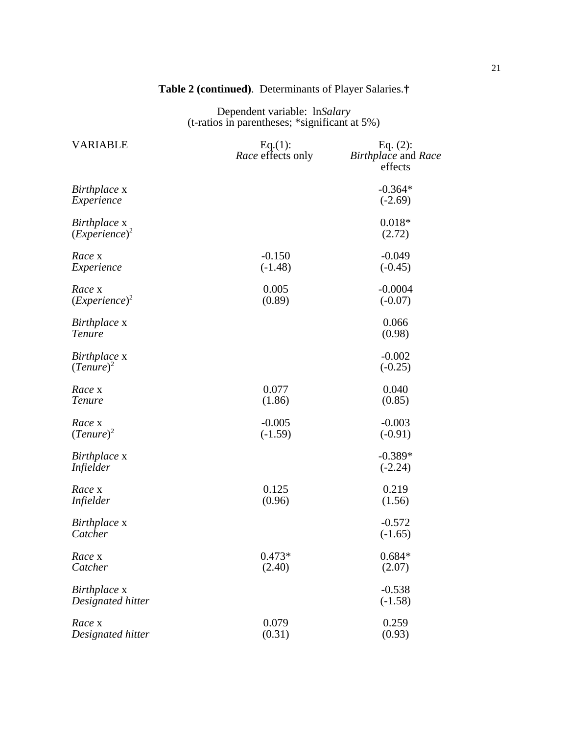### **Table 2 (continued)**. Determinants of Player Salaries.**†**

Dependent variable: ln*Salary* (t-ratios in parentheses; \*significant at 5%)

| <b>VARIABLE</b>                   | Eq.(1):<br>Race effects only | Eq. $(2)$ :<br>Birthplace and Race<br>effects |
|-----------------------------------|------------------------------|-----------------------------------------------|
| Birthplace x<br>Experience        |                              | $-0.364*$<br>$(-2.69)$                        |
| Birthplace x<br>$( Experience)^2$ |                              | $0.018*$<br>(2.72)                            |
| Race x<br>Experience              | $-0.150$<br>$(-1.48)$        | $-0.049$<br>$(-0.45)$                         |
| Race x<br>$( Experience)^2$       | 0.005<br>(0.89)              | $-0.0004$<br>$(-0.07)$                        |
| Birthplace x<br>Tenure            |                              | 0.066<br>(0.98)                               |
| Birthplace x<br>$(Tenure)^2$      |                              | $-0.002$<br>$(-0.25)$                         |
| Race x<br><b>Tenure</b>           | 0.077<br>(1.86)              | 0.040<br>(0.85)                               |
| Race x<br>$(Tenure)^2$            | $-0.005$<br>$(-1.59)$        | $-0.003$<br>$(-0.91)$                         |
| Birthplace x<br><i>Infielder</i>  |                              | $-0.389*$<br>$(-2.24)$                        |
| Race x<br><i>Infielder</i>        | 0.125<br>(0.96)              | 0.219<br>(1.56)                               |
| Birthplace x<br>Catcher           |                              | $-0.572$<br>$(-1.65)$                         |
| Race x<br>Catcher                 | $0.473*$<br>(2.40)           | $0.684*$<br>(2.07)                            |
| Birthplace x<br>Designated hitter |                              | $-0.538$<br>$(-1.58)$                         |
| Race x<br>Designated hitter       | 0.079<br>(0.31)              | 0.259<br>(0.93)                               |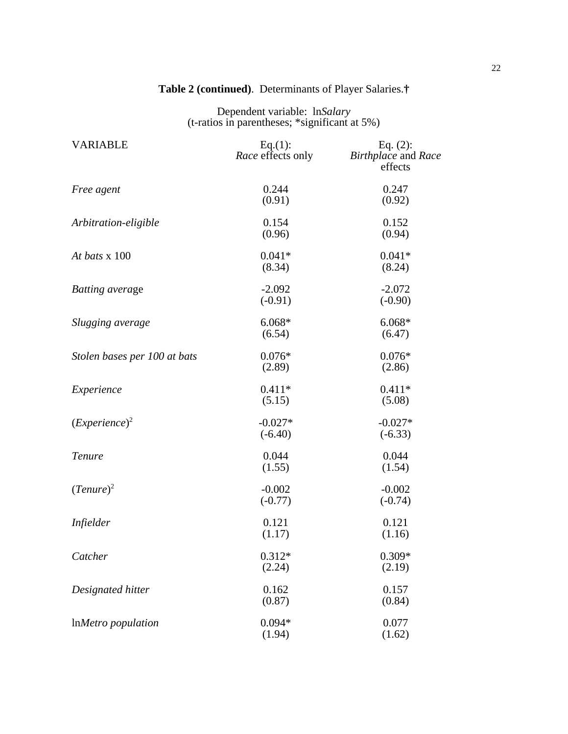| <b>VARIABLE</b>              | Eq.(1):<br>Race effects only | Eq. $(2)$ :<br>Birthplace and Race<br>effects |
|------------------------------|------------------------------|-----------------------------------------------|
| Free agent                   | 0.244<br>(0.91)              | 0.247<br>(0.92)                               |
| Arbitration-eligible         | 0.154<br>(0.96)              | 0.152<br>(0.94)                               |
| At bats x 100                | $0.041*$<br>(8.34)           | $0.041*$<br>(8.24)                            |
| <b>Batting</b> average       | $-2.092$<br>$(-0.91)$        | $-2.072$<br>$(-0.90)$                         |
| Slugging average             | $6.068*$<br>(6.54)           | $6.068*$<br>(6.47)                            |
| Stolen bases per 100 at bats | $0.076*$<br>(2.89)           | $0.076*$<br>(2.86)                            |
| Experience                   | $0.411*$<br>(5.15)           | $0.411*$<br>(5.08)                            |
| $( Experience)^2$            | $-0.027*$<br>$(-6.40)$       | $-0.027*$<br>$(-6.33)$                        |
| Tenure                       | 0.044<br>(1.55)              | 0.044<br>(1.54)                               |
| $(Tenure)^2$                 | $-0.002$<br>$(-0.77)$        | $-0.002$<br>$(-0.74)$                         |
| <i>Infielder</i>             | 0.121<br>(1.17)              | 0.121<br>(1.16)                               |
| Catcher                      | $0.312*$<br>(2.24)           | $0.309*$<br>(2.19)                            |
| Designated hitter            | 0.162<br>(0.87)              | 0.157<br>(0.84)                               |
| InMetro population           | $0.094*$<br>(1.94)           | 0.077<br>(1.62)                               |

### **Table 2 (continued)**. Determinants of Player Salaries.**†**

Dependent variable: ln*Salary* (t-ratios in parentheses; \*significant at 5%)